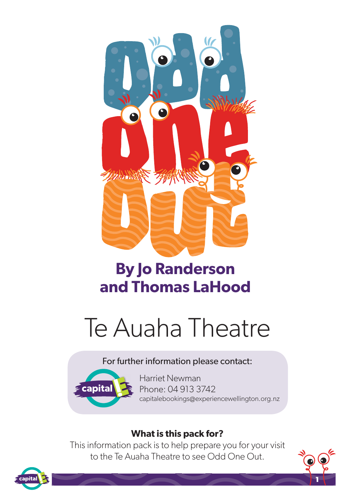

# **By Jo Randerson and Thomas LaHood**



#### For further information please contact:



Harriet Newman Phone: 04 913 3742 capitalebookings@experiencewellington.org.nz

**1**

#### **What is this pack for?**

This information pack is to help prepare you for your visit to the Te Auaha Theatre to see Odd One Out.

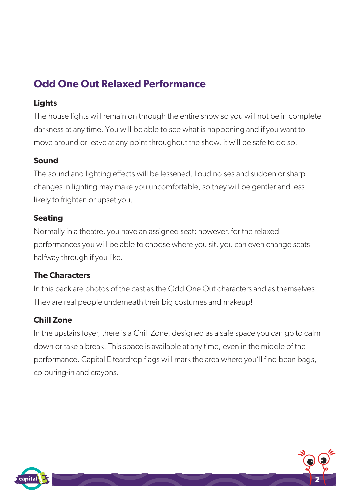# **Odd One Out Relaxed Performance**

#### **Lights**

The house lights will remain on through the entire show so you will not be in complete darkness at any time. You will be able to see what is happening and if you want to move around or leave at any point throughout the show, it will be safe to do so.

#### **Sound**

The sound and lighting effects will be lessened. Loud noises and sudden or sharp changes in lighting may make you uncomfortable, so they will be gentler and less likely to frighten or upset you.

#### **Seating**

Normally in a theatre, you have an assigned seat; however, for the relaxed performances you will be able to choose where you sit, you can even change seats halfway through if you like.

#### **The Characters**

In this pack are photos of the cast as the Odd One Out characters and as themselves. They are real people underneath their big costumes and makeup!

#### **Chill Zone**

In the upstairs foyer, there is a Chill Zone, designed as a safe space you can go to calm down or take a break. This space is available at any time, even in the middle of the performance. Capital E teardrop flags will mark the area where you'll find bean bags, colouring-in and crayons.



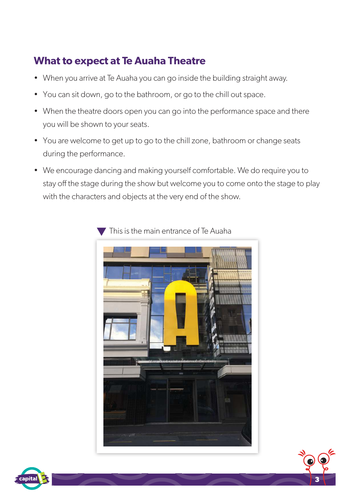# **What to expect at Te Auaha Theatre**

- When you arrive at Te Auaha you can go inside the building straight away.
- You can sit down, go to the bathroom, or go to the chill out space.
- When the theatre doors open you can go into the performance space and there you will be shown to your seats.
- You are welcome to get up to go to the chill zone, bathroom or change seats during the performance.
- We encourage dancing and making yourself comfortable. We do require you to stay off the stage during the show but welcome you to come onto the stage to play with the characters and objects at the very end of the show.



**3**

This is the main entrance of Te Auaha

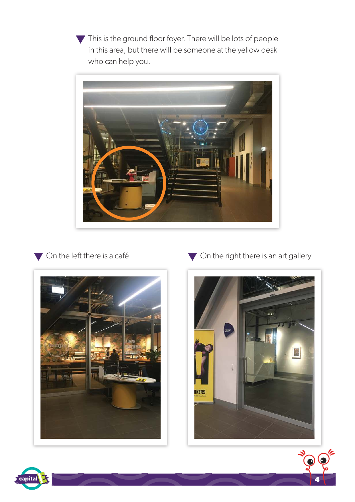This is the ground floor foyer. There will be lots of people in this area, but there will be someone at the yellow desk who can help you.



#### On the left there is a café



On the right there is an art gallery



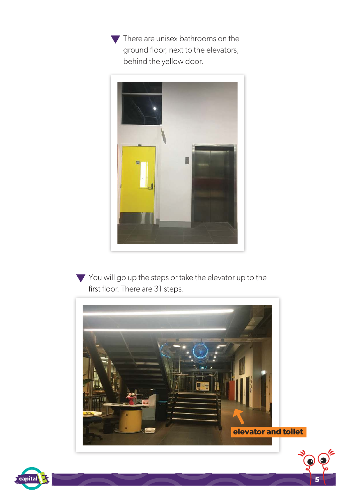There are unisex bathrooms on the ground floor, next to the elevators, behind the yellow door.



You will go up the steps or take the elevator up to the first floor. There are 31 steps.



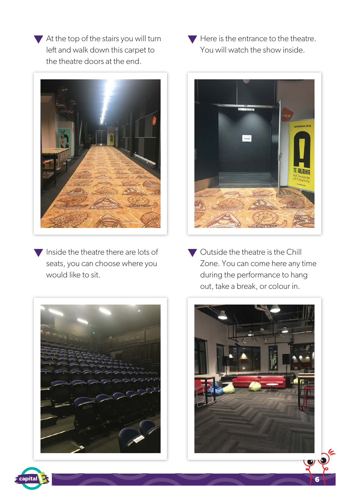At the top of the stairs you will turn left and walk down this carpet to the theatre doors at the end.



 $\blacktriangledown$  Inside the theatre there are lots of seats, you can choose where you would like to sit.

 $\blacktriangledown$  Here is the entrance to the theatre. You will watch the show inside.



Outside the theatre is the Chill Zone. You can come here any time during the performance to hang out, take a break, or colour in.





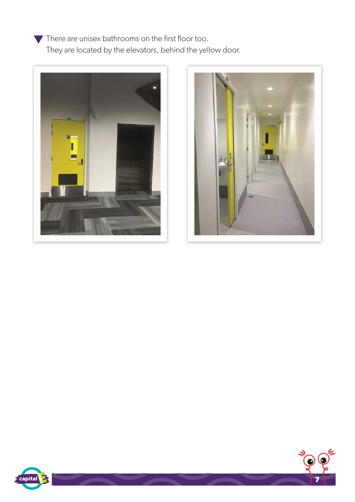There are unisex bathrooms on the first floor too. They are located by the elevators, behind the yellow door.







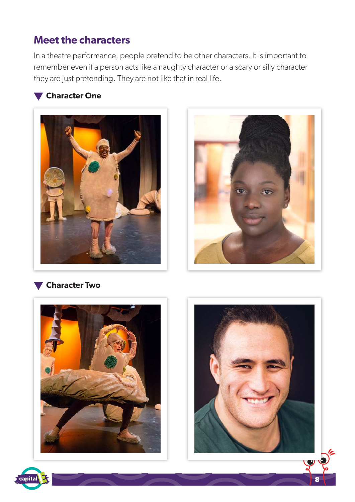## **Meet the characters**

In a theatre performance, people pretend to be other characters. It is important to remember even if a person acts like a naughty character or a scary or silly character they are just pretending. They are not like that in real life.

#### **Character One**





#### **Character Two**





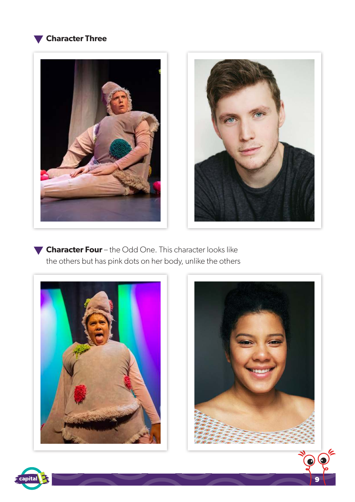





**Character Four** – the Odd One. This character looks like the others but has pink dots on her body, unlike the others





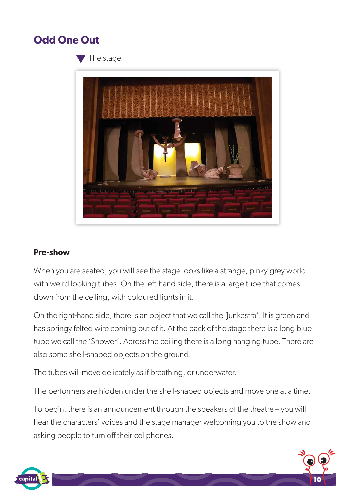### **Odd One Out**

The stage



#### **Pre-show**

When you are seated, you will see the stage looks like a strange, pinky-grey world with weird looking tubes. On the left-hand side, there is a large tube that comes down from the ceiling, with coloured lights in it.

On the right-hand side, there is an object that we call the 'Junkestra'. It is green and has springy felted wire coming out of it. At the back of the stage there is a long blue tube we call the 'Shower'. Across the ceiling there is a long hanging tube. There are also some shell-shaped objects on the ground.

The tubes will move delicately as if breathing, or underwater.

The performers are hidden under the shell-shaped objects and move one at a time.

To begin, there is an announcement through the speakers of the theatre – you will hear the characters' voices and the stage manager welcoming you to the show and asking people to turn off their cellphones.

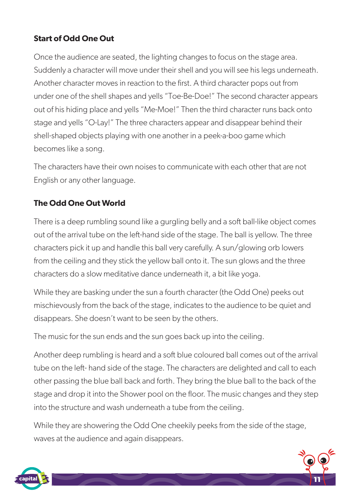#### **Start of Odd One Out**

Once the audience are seated, the lighting changes to focus on the stage area. Suddenly a character will move under their shell and you will see his legs underneath. Another character moves in reaction to the first. A third character pops out from under one of the shell shapes and yells "Toe-Be-Doe!" The second character appears out of his hiding place and yells "Me-Moe!" Then the third character runs back onto stage and yells "O-Lay!" The three characters appear and disappear behind their shell-shaped objects playing with one another in a peek-a-boo game which becomes like a song.

The characters have their own noises to communicate with each other that are not English or any other language.

#### **The Odd One Out World**

There is a deep rumbling sound like a gurgling belly and a soft ball-like object comes out of the arrival tube on the left-hand side of the stage. The ball is yellow. The three characters pick it up and handle this ball very carefully. A sun/glowing orb lowers from the ceiling and they stick the yellow ball onto it. The sun glows and the three characters do a slow meditative dance underneath it, a bit like yoga.

While they are basking under the sun a fourth character (the Odd One) peeks out mischievously from the back of the stage, indicates to the audience to be quiet and disappears. She doesn't want to be seen by the others.

The music for the sun ends and the sun goes back up into the ceiling.

Another deep rumbling is heard and a soft blue coloured ball comes out of the arrival tube on the left- hand side of the stage. The characters are delighted and call to each other passing the blue ball back and forth. They bring the blue ball to the back of the stage and drop it into the Shower pool on the floor. The music changes and they step into the structure and wash underneath a tube from the ceiling.

While they are showering the Odd One cheekily peeks from the side of the stage, waves at the audience and again disappears.

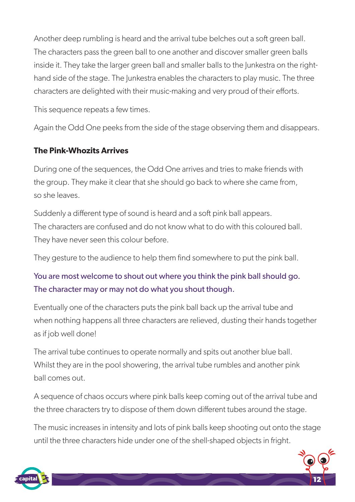Another deep rumbling is heard and the arrival tube belches out a soft green ball. The characters pass the green ball to one another and discover smaller green balls inside it. They take the larger green ball and smaller balls to the Junkestra on the righthand side of the stage. The Junkestra enables the characters to play music. The three characters are delighted with their music-making and very proud of their efforts.

This sequence repeats a few times.

Again the Odd One peeks from the side of the stage observing them and disappears.

#### **The Pink-Whozits Arrives**

During one of the sequences, the Odd One arrives and tries to make friends with the group. They make it clear that she should go back to where she came from, so she leaves.

Suddenly a different type of sound is heard and a soft pink ball appears. The characters are confused and do not know what to do with this coloured ball. They have never seen this colour before.

They gesture to the audience to help them find somewhere to put the pink ball.

### You are most welcome to shout out where you think the pink ball should go. The character may or may not do what you shout though.

Eventually one of the characters puts the pink ball back up the arrival tube and when nothing happens all three characters are relieved, dusting their hands together as if job well done!

The arrival tube continues to operate normally and spits out another blue ball. Whilst they are in the pool showering, the arrival tube rumbles and another pink ball comes out.

A sequence of chaos occurs where pink balls keep coming out of the arrival tube and the three characters try to dispose of them down different tubes around the stage.

The music increases in intensity and lots of pink balls keep shooting out onto the stage until the three characters hide under one of the shell-shaped objects in fright.

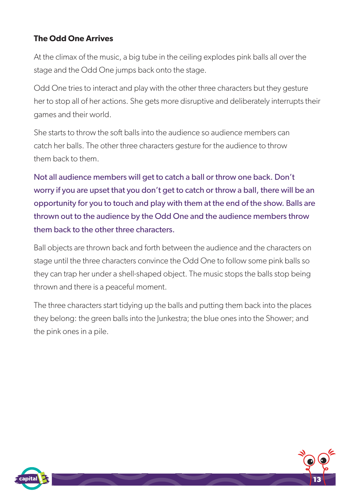#### **The Odd One Arrives**

At the climax of the music, a big tube in the ceiling explodes pink balls all over the stage and the Odd One jumps back onto the stage.

Odd One tries to interact and play with the other three characters but they gesture her to stop all of her actions. She gets more disruptive and deliberately interrupts their games and their world.

She starts to throw the soft balls into the audience so audience members can catch her balls. The other three characters gesture for the audience to throw them back to them.

Not all audience members will get to catch a ball or throw one back. Don't worry if you are upset that you don't get to catch or throw a ball, there will be an opportunity for you to touch and play with them at the end of the show. Balls are thrown out to the audience by the Odd One and the audience members throw them back to the other three characters.

Ball objects are thrown back and forth between the audience and the characters on stage until the three characters convince the Odd One to follow some pink balls so they can trap her under a shell-shaped object. The music stops the balls stop being thrown and there is a peaceful moment.

The three characters start tidying up the balls and putting them back into the places they belong: the green balls into the Junkestra; the blue ones into the Shower; and the pink ones in a pile.



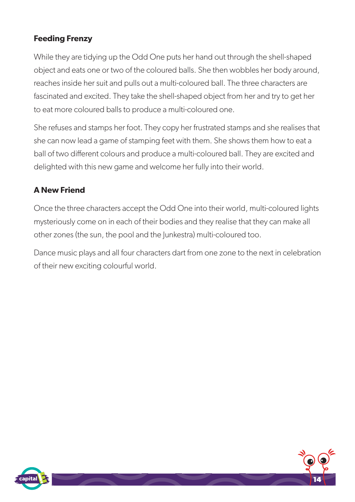#### **Feeding Frenzy**

While they are tidying up the Odd One puts her hand out through the shell-shaped object and eats one or two of the coloured balls. She then wobbles her body around, reaches inside her suit and pulls out a multi-coloured ball. The three characters are fascinated and excited. They take the shell-shaped object from her and try to get her to eat more coloured balls to produce a multi-coloured one.

She refuses and stamps her foot. They copy her frustrated stamps and she realises that she can now lead a game of stamping feet with them. She shows them how to eat a ball of two different colours and produce a multi-coloured ball. They are excited and delighted with this new game and welcome her fully into their world.

#### **A New Friend**

Once the three characters accept the Odd One into their world, multi-coloured lights mysteriously come on in each of their bodies and they realise that they can make all other zones (the sun, the pool and the Junkestra) multi-coloured too.

Dance music plays and all four characters dart from one zone to the next in celebration of their new exciting colourful world.